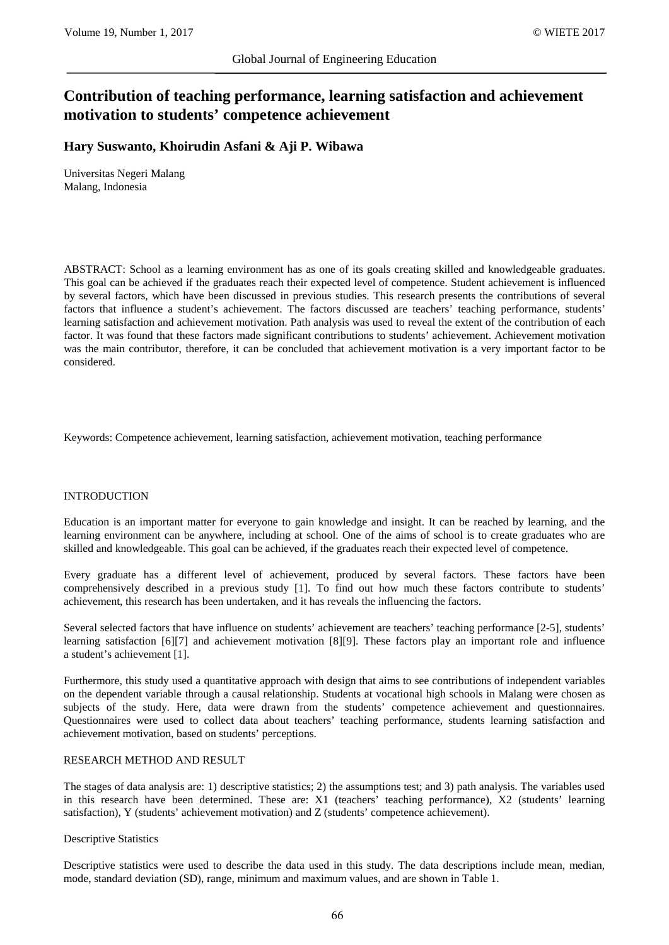# **Contribution of teaching performance, learning satisfaction and achievement motivation to students' competence achievement**

## **Hary Suswanto, Khoirudin Asfani & Aji P. Wibawa**

Universitas Negeri Malang Malang, Indonesia

ABSTRACT: School as a learning environment has as one of its goals creating skilled and knowledgeable graduates. This goal can be achieved if the graduates reach their expected level of competence. Student achievement is influenced by several factors, which have been discussed in previous studies. This research presents the contributions of several factors that influence a student's achievement. The factors discussed are teachers' teaching performance, students' learning satisfaction and achievement motivation. Path analysis was used to reveal the extent of the contribution of each factor. It was found that these factors made significant contributions to students' achievement. Achievement motivation was the main contributor, therefore, it can be concluded that achievement motivation is a very important factor to be considered.

Keywords: Competence achievement, learning satisfaction, achievement motivation, teaching performance

## INTRODUCTION

Education is an important matter for everyone to gain knowledge and insight. It can be reached by learning, and the learning environment can be anywhere, including at school. One of the aims of school is to create graduates who are skilled and knowledgeable. This goal can be achieved, if the graduates reach their expected level of competence.

Every graduate has a different level of achievement, produced by several factors. These factors have been comprehensively described in a previous study [1]. To find out how much these factors contribute to students' achievement, this research has been undertaken, and it has reveals the influencing the factors.

Several selected factors that have influence on students' achievement are teachers' teaching performance [2-5], students' learning satisfaction [6][7] and achievement motivation [8][9]. These factors play an important role and influence a student's achievement [1].

Furthermore, this study used a quantitative approach with design that aims to see contributions of independent variables on the dependent variable through a causal relationship. Students at vocational high schools in Malang were chosen as subjects of the study. Here, data were drawn from the students' competence achievement and questionnaires. Questionnaires were used to collect data about teachers' teaching performance, students learning satisfaction and achievement motivation, based on students' perceptions.

## RESEARCH METHOD AND RESULT

The stages of data analysis are: 1) descriptive statistics; 2) the assumptions test; and 3) path analysis. The variables used in this research have been determined. These are: X1 (teachers' teaching performance), X2 (students' learning satisfaction), Y (students' achievement motivation) and Z (students' competence achievement).

#### Descriptive Statistics

Descriptive statistics were used to describe the data used in this study. The data descriptions include mean, median, mode, standard deviation (SD), range, minimum and maximum values, and are shown in Table 1.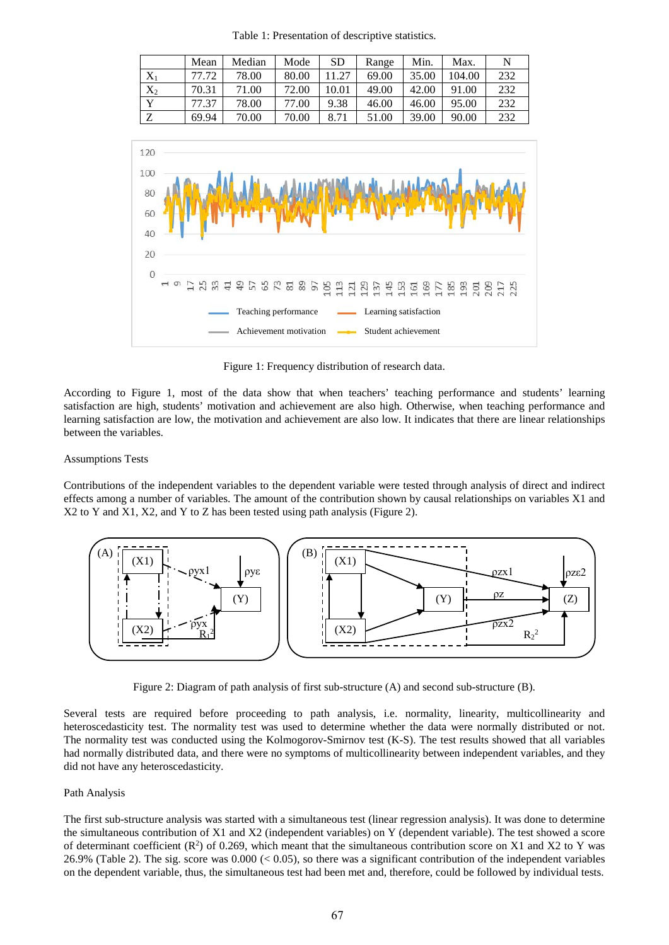Table 1: Presentation of descriptive statistics.

|              | Mean  | Median | Mode  | SD    | Range | Min.  | Max.   | N   |
|--------------|-------|--------|-------|-------|-------|-------|--------|-----|
| $\rm X_1$    | 77.72 | 78.00  | 80.00 | 11.27 | 69.00 | 35.00 | 104.00 | 232 |
| $X_2$        | 70.31 | 71.00  | 72.00 | 10.01 | 49.00 | 42.00 | 91.00  | 232 |
| $\mathbf{v}$ | 77.37 | 78.00  | 77.00 | 9.38  | 46.00 | 46.00 | 95.00  | 232 |
| $\mathbf{z}$ | 69.94 | 70.00  | 70.00 | 8.71  | 51.00 | 39.00 | 90.00  | 232 |



Figure 1: Frequency distribution of research data.

According to Figure 1, most of the data show that when teachers' teaching performance and students' learning satisfaction are high, students' motivation and achievement are also high. Otherwise, when teaching performance and learning satisfaction are low, the motivation and achievement are also low. It indicates that there are linear relationships between the variables.

#### Assumptions Tests

Contributions of the independent variables to the dependent variable were tested through analysis of direct and indirect effects among a number of variables. The amount of the contribution shown by causal relationships on variables X1 and X2 to Y and X1, X2, and Y to Z has been tested using path analysis (Figure 2).



Figure 2: Diagram of path analysis of first sub-structure (A) and second sub-structure (B).

Several tests are required before proceeding to path analysis, i.e. normality, linearity, multicollinearity and heteroscedasticity test. The normality test was used to determine whether the data were normally distributed or not. The normality test was conducted using the Kolmogorov-Smirnov test (K-S). The test results showed that all variables had normally distributed data, and there were no symptoms of multicollinearity between independent variables, and they did not have any heteroscedasticity.

#### Path Analysis

The first sub-structure analysis was started with a simultaneous test (linear regression analysis). It was done to determine the simultaneous contribution of X1 and X2 (independent variables) on Y (dependent variable). The test showed a score of determinant coefficient  $(R^2)$  of 0.269, which meant that the simultaneous contribution score on X1 and X2 to Y was 26.9% (Table 2). The sig. score was 0.000 (< 0.05), so there was a significant contribution of the independent variables on the dependent variable, thus, the simultaneous test had been met and, therefore, could be followed by individual tests.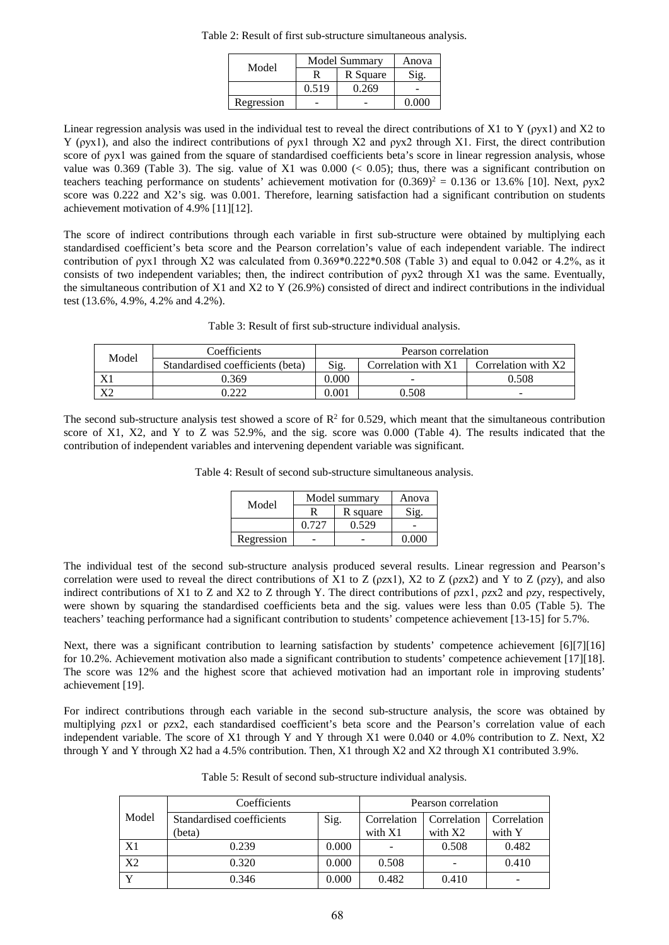Table 2: Result of first sub-structure simultaneous analysis.

| Model      | Model Summary | Anova    |               |  |
|------------|---------------|----------|---------------|--|
|            |               | R Square | Sio.          |  |
|            | 0.519         | 0.269    |               |  |
| Regression |               |          | <u>N UU U</u> |  |

Linear regression analysis was used in the individual test to reveal the direct contributions of X1 to Y (ρyx1) and X2 to Y (ρyx1), and also the indirect contributions of ρyx1 through X2 and ρyx2 through X1. First, the direct contribution score of ρyx1 was gained from the square of standardised coefficients beta's score in linear regression analysis, whose value was 0.369 (Table 3). The sig. value of X1 was  $0.000 \le 0.05$ ); thus, there was a significant contribution on teachers teaching performance on students' achievement motivation for  $(0.369)^2 = 0.136$  or 13.6% [10]. Next,  $\rho$ yx2 score was 0.222 and X2's sig. was 0.001. Therefore, learning satisfaction had a significant contribution on students achievement motivation of 4.9% [11][12].

The score of indirect contributions through each variable in first sub-structure were obtained by multiplying each standardised coefficient's beta score and the Pearson correlation's value of each independent variable. The indirect contribution of  $p$ yx1 through X2 was calculated from  $0.369*0.222*0.508$  (Table 3) and equal to 0.042 or 4.2%, as it consists of two independent variables; then, the indirect contribution of ρyx2 through X1 was the same. Eventually, the simultaneous contribution of X1 and X2 to Y (26.9%) consisted of direct and indirect contributions in the individual test (13.6%, 4.9%, 4.2% and 4.2%).

| Table 3: Result of first sub-structure individual analysis. |  |  |  |
|-------------------------------------------------------------|--|--|--|
|-------------------------------------------------------------|--|--|--|

| Model | Coefficients                     | Pearson correlation |                     |                     |  |
|-------|----------------------------------|---------------------|---------------------|---------------------|--|
|       | Standardised coefficients (beta) | Sig.                | Correlation with X1 | Correlation with X2 |  |
|       | 0.369                            | 0.000               | -                   | 0.508               |  |
| v٥    | . $\cap$                         | 0.001               | 0.508               |                     |  |

The second sub-structure analysis test showed a score of  $R^2$  for 0.529, which meant that the simultaneous contribution score of X1, X2, and Y to Z was 52.9%, and the sig. score was 0.000 (Table 4). The results indicated that the contribution of independent variables and intervening dependent variable was significant.

Table 4: Result of second sub-structure simultaneous analysis.

|            | Model summary | Anova    |  |
|------------|---------------|----------|--|
| Model      |               | R square |  |
|            | 0.727         | 0.529    |  |
| Regression |               |          |  |

The individual test of the second sub-structure analysis produced several results. Linear regression and Pearson's correlation were used to reveal the direct contributions of X1 to Z ( $\rho$ zx1), X2 to Z ( $\rho$ zx2) and Y to Z ( $\rho$ zy), and also indirect contributions of X1 to Z and X2 to Z through Y. The direct contributions of ρzx1, ρzx2 and ρzy, respectively, were shown by squaring the standardised coefficients beta and the sig. values were less than 0.05 (Table 5). The teachers' teaching performance had a significant contribution to students' competence achievement [13-15] for 5.7%.

Next, there was a significant contribution to learning satisfaction by students' competence achievement [6][7][16] for 10.2%. Achievement motivation also made a significant contribution to students' competence achievement [17][18]. The score was 12% and the highest score that achieved motivation had an important role in improving students' achievement [19].

For indirect contributions through each variable in the second sub-structure analysis, the score was obtained by multiplying ρzx1 or ρzx2, each standardised coefficient's beta score and the Pearson's correlation value of each independent variable. The score of X1 through Y and Y through X1 were 0.040 or 4.0% contribution to Z. Next, X2 through Y and Y through X2 had a 4.5% contribution. Then, X1 through X2 and X2 through X1 contributed 3.9%.

|       | Coefficients              | Pearson correlation |             |             |             |
|-------|---------------------------|---------------------|-------------|-------------|-------------|
| Model | Standardised coefficients | Sig.                | Correlation | Correlation | Correlation |
|       | (beta)                    |                     | with $X1$   | with $X2$   | with Y      |
| X1    | 0.239                     | 0.000               |             | 0.508       | 0.482       |
| X2    | 0.320                     | 0.000               | 0.508       |             | 0.410       |
|       | 0.346                     | 0.000               | 0.482       | 0.410       |             |

Table 5: Result of second sub-structure individual analysis.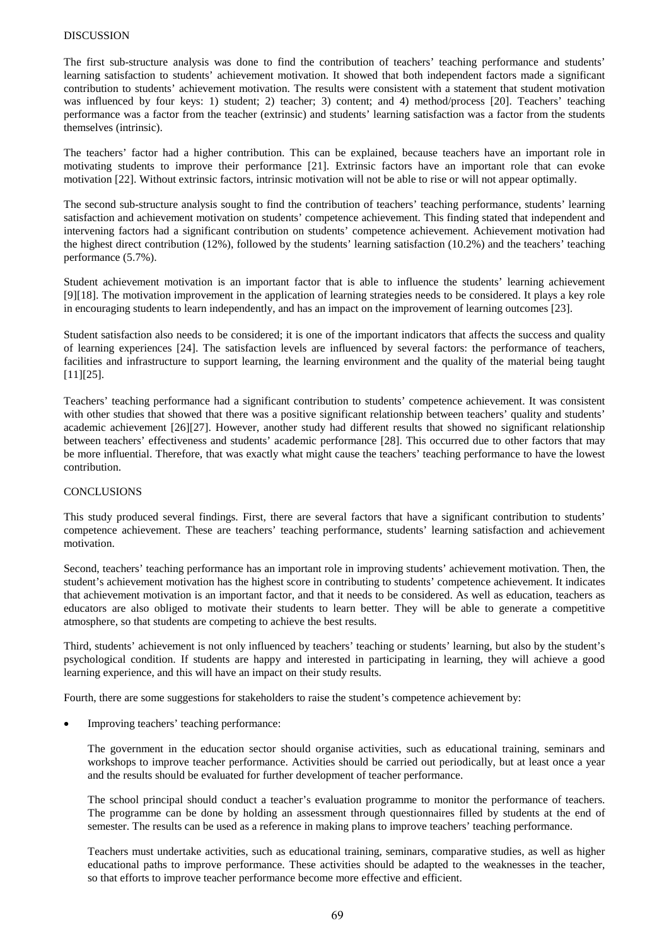### DISCUSSION

The first sub-structure analysis was done to find the contribution of teachers' teaching performance and students' learning satisfaction to students' achievement motivation. It showed that both independent factors made a significant contribution to students' achievement motivation. The results were consistent with a statement that student motivation was influenced by four keys: 1) student; 2) teacher; 3) content; and 4) method/process [20]. Teachers' teaching performance was a factor from the teacher (extrinsic) and students' learning satisfaction was a factor from the students themselves (intrinsic).

The teachers' factor had a higher contribution. This can be explained, because teachers have an important role in motivating students to improve their performance [21]. Extrinsic factors have an important role that can evoke motivation [22]. Without extrinsic factors, intrinsic motivation will not be able to rise or will not appear optimally.

The second sub-structure analysis sought to find the contribution of teachers' teaching performance, students' learning satisfaction and achievement motivation on students' competence achievement. This finding stated that independent and intervening factors had a significant contribution on students' competence achievement. Achievement motivation had the highest direct contribution (12%), followed by the students' learning satisfaction (10.2%) and the teachers' teaching performance (5.7%).

Student achievement motivation is an important factor that is able to influence the students' learning achievement [9][18]. The motivation improvement in the application of learning strategies needs to be considered. It plays a key role in encouraging students to learn independently, and has an impact on the improvement of learning outcomes [23].

Student satisfaction also needs to be considered; it is one of the important indicators that affects the success and quality of learning experiences [24]. The satisfaction levels are influenced by several factors: the performance of teachers, facilities and infrastructure to support learning, the learning environment and the quality of the material being taught [11][25].

Teachers' teaching performance had a significant contribution to students' competence achievement. It was consistent with other studies that showed that there was a positive significant relationship between teachers' quality and students' academic achievement [26][27]. However, another study had different results that showed no significant relationship between teachers' effectiveness and students' academic performance [28]. This occurred due to other factors that may be more influential. Therefore, that was exactly what might cause the teachers' teaching performance to have the lowest contribution.

## **CONCLUSIONS**

This study produced several findings. First, there are several factors that have a significant contribution to students' competence achievement. These are teachers' teaching performance, students' learning satisfaction and achievement motivation.

Second, teachers' teaching performance has an important role in improving students' achievement motivation. Then, the student's achievement motivation has the highest score in contributing to students' competence achievement. It indicates that achievement motivation is an important factor, and that it needs to be considered. As well as education, teachers as educators are also obliged to motivate their students to learn better. They will be able to generate a competitive atmosphere, so that students are competing to achieve the best results.

Third, students' achievement is not only influenced by teachers' teaching or students' learning, but also by the student's psychological condition. If students are happy and interested in participating in learning, they will achieve a good learning experience, and this will have an impact on their study results.

Fourth, there are some suggestions for stakeholders to raise the student's competence achievement by:

Improving teachers' teaching performance:

The government in the education sector should organise activities, such as educational training, seminars and workshops to improve teacher performance. Activities should be carried out periodically, but at least once a year and the results should be evaluated for further development of teacher performance.

The school principal should conduct a teacher's evaluation programme to monitor the performance of teachers. The programme can be done by holding an assessment through questionnaires filled by students at the end of semester. The results can be used as a reference in making plans to improve teachers' teaching performance.

Teachers must undertake activities, such as educational training, seminars, comparative studies, as well as higher educational paths to improve performance. These activities should be adapted to the weaknesses in the teacher, so that efforts to improve teacher performance become more effective and efficient.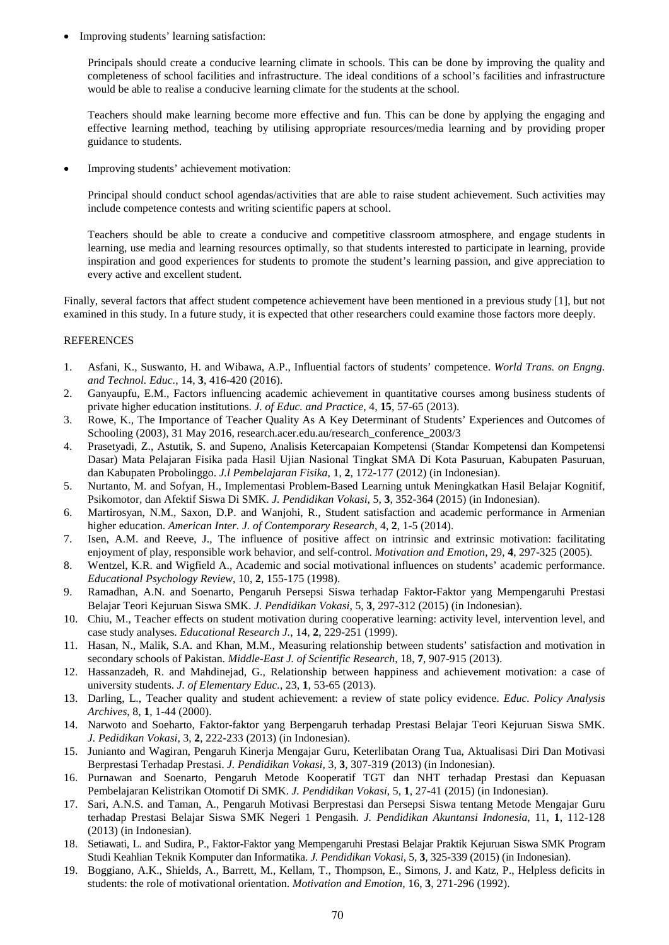• Improving students' learning satisfaction:

Principals should create a conducive learning climate in schools. This can be done by improving the quality and completeness of school facilities and infrastructure. The ideal conditions of a school's facilities and infrastructure would be able to realise a conducive learning climate for the students at the school.

Teachers should make learning become more effective and fun. This can be done by applying the engaging and effective learning method, teaching by utilising appropriate resources/media learning and by providing proper guidance to students.

Improving students' achievement motivation:

Principal should conduct school agendas/activities that are able to raise student achievement. Such activities may include competence contests and writing scientific papers at school.

Teachers should be able to create a conducive and competitive classroom atmosphere, and engage students in learning, use media and learning resources optimally, so that students interested to participate in learning, provide inspiration and good experiences for students to promote the student's learning passion, and give appreciation to every active and excellent student.

Finally, several factors that affect student competence achievement have been mentioned in a previous study [1], but not examined in this study. In a future study, it is expected that other researchers could examine those factors more deeply.

## **REFERENCES**

- 1. Asfani, K., Suswanto, H. and Wibawa, A.P., Influential factors of students' competence. *World Trans. on Engng. and Technol. Educ.*, 14, **3**, 416-420 (2016).
- 2. Ganyaupfu, E.M., Factors influencing academic achievement in quantitative courses among business students of private higher education institutions. *J. of Educ. and Practice*, 4, **15**, 57-65 (2013).
- 3. Rowe, K., The Importance of Teacher Quality As A Key Determinant of Students' Experiences and Outcomes of Schooling (2003), 31 May 2016, research.acer.edu.au/research\_conference\_2003/3
- 4. Prasetyadi, Z., Astutik, S. and Supeno, Analisis Ketercapaian Kompetensi (Standar Kompetensi dan Kompetensi Dasar) Mata Pelajaran Fisika pada Hasil Ujian Nasional Tingkat SMA Di Kota Pasuruan, Kabupaten Pasuruan, dan Kabupaten Probolinggo. *J.l Pembelajaran Fisika*, 1, **2**, 172-177 (2012) (in Indonesian).
- 5. Nurtanto, M. and Sofyan, H., Implementasi Problem-Based Learning untuk Meningkatkan Hasil Belajar Kognitif, Psikomotor, dan Afektif Siswa Di SMK. *J. Pendidikan Vokasi*, 5, **3**, 352-364 (2015) (in Indonesian).
- 6. Martirosyan, N.M., Saxon, D.P. and Wanjohi, R., Student satisfaction and academic performance in Armenian higher education. *American Inter. J. of Contemporary Research*, 4, **2**, 1-5 (2014).
- 7. Isen, A.M. and Reeve, J., The influence of positive affect on intrinsic and extrinsic motivation: facilitating enjoyment of play, responsible work behavior, and self-control. *Motivation and Emotion*, 29, **4**, 297-325 (2005).
- 8. Wentzel, K.R. and Wigfield A., Academic and social motivational influences on students' academic performance. *Educational Psychology Review*, 10, **2**, 155-175 (1998).
- 9. Ramadhan, A.N. and Soenarto, Pengaruh Persepsi Siswa terhadap Faktor-Faktor yang Mempengaruhi Prestasi Belajar Teori Kejuruan Siswa SMK. *J. Pendidikan Vokasi*, 5, **3**, 297-312 (2015) (in Indonesian).
- 10. Chiu, M., Teacher effects on student motivation during cooperative learning: activity level, intervention level, and case study analyses. *Educational Research J.*, 14, **2**, 229-251 (1999).
- 11. Hasan, N., Malik, S.A. and Khan, M.M., Measuring relationship between students' satisfaction and motivation in secondary schools of Pakistan. *Middle-East J. of Scientific Research*, 18, **7**, 907-915 (2013).
- 12. Hassanzadeh, R. and Mahdinejad, G., Relationship between happiness and achievement motivation: a case of university students. *J. of Elementary Educ.*, 23, **1**, 53-65 (2013).
- 13. Darling, L., Teacher quality and student achievement: a review of state policy evidence. *Educ. Policy Analysis Archives*, 8, **1**, 1-44 (2000).
- 14. Narwoto and Soeharto, Faktor-faktor yang Berpengaruh terhadap Prestasi Belajar Teori Kejuruan Siswa SMK. *J. Pedidikan Vokasi*, 3, **2**, 222-233 (2013) (in Indonesian).
- 15. Junianto and Wagiran, Pengaruh Kinerja Mengajar Guru, Keterlibatan Orang Tua, Aktualisasi Diri Dan Motivasi Berprestasi Terhadap Prestasi. *J. Pendidikan Vokasi*, 3, **3**, 307-319 (2013) (in Indonesian).
- 16. Purnawan and Soenarto, Pengaruh Metode Kooperatif TGT dan NHT terhadap Prestasi dan Kepuasan Pembelajaran Kelistrikan Otomotif Di SMK. *J. Pendidikan Vokasi*, 5, **1**, 27-41 (2015) (in Indonesian).
- 17. Sari, A.N.S. and Taman, A., Pengaruh Motivasi Berprestasi dan Persepsi Siswa tentang Metode Mengajar Guru terhadap Prestasi Belajar Siswa SMK Negeri 1 Pengasih. *J. Pendidikan Akuntansi Indonesia*, 11, **1**, 112-128 (2013) (in Indonesian).
- 18. Setiawati, L. and Sudira, P., Faktor-Faktor yang Mempengaruhi Prestasi Belajar Praktik Kejuruan Siswa SMK Program Studi Keahlian Teknik Komputer dan Informatika. *J. Pendidikan Vokasi*, 5, **3**, 325-339 (2015) (in Indonesian).
- 19. Boggiano, A.K., Shields, A., Barrett, M., Kellam, T., Thompson, E., Simons, J. and Katz, P., Helpless deficits in students: the role of motivational orientation. *Motivation and Emotion*, 16, **3**, 271-296 (1992).